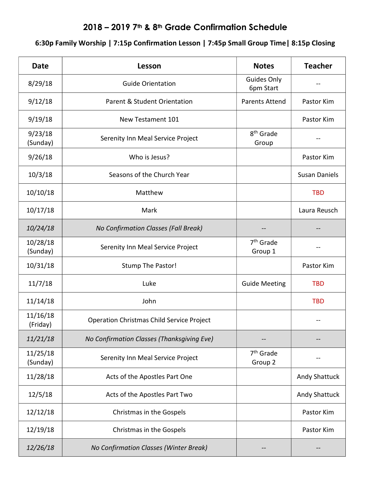## 2018 – 2019 7th & 8th Grade Confirmation Schedule

## 6:30p Family Worship | 7:15p Confirmation Lesson | 7:45p Small Group Time| 8:15p Closing

| <b>Date</b>          | Lesson                                           | <b>Notes</b>                     | <b>Teacher</b>       |
|----------------------|--------------------------------------------------|----------------------------------|----------------------|
| 8/29/18              | <b>Guide Orientation</b>                         | Guides Only<br>6pm Start         |                      |
| 9/12/18              | Parent & Student Orientation                     | <b>Parents Attend</b>            | Pastor Kim           |
| 9/19/18              | New Testament 101                                |                                  | Pastor Kim           |
| 9/23/18<br>(Sunday)  | Serenity Inn Meal Service Project                | 8 <sup>th</sup> Grade<br>Group   |                      |
| 9/26/18              | Who is Jesus?                                    |                                  | Pastor Kim           |
| 10/3/18              | Seasons of the Church Year                       |                                  | <b>Susan Daniels</b> |
| 10/10/18             | Matthew                                          |                                  | <b>TBD</b>           |
| 10/17/18             | Mark                                             |                                  | Laura Reusch         |
| 10/24/18             | No Confirmation Classes (Fall Break)             |                                  |                      |
| 10/28/18<br>(Sunday) | Serenity Inn Meal Service Project                | 7 <sup>th</sup> Grade<br>Group 1 |                      |
| 10/31/18             | Stump The Pastor!                                |                                  | Pastor Kim           |
| 11/7/18              | Luke                                             | <b>Guide Meeting</b>             | <b>TBD</b>           |
| 11/14/18             | John                                             |                                  | <b>TBD</b>           |
| 11/16/18<br>(Friday) | <b>Operation Christmas Child Service Project</b> |                                  |                      |
| 11/21/18             | No Confirmation Classes (Thanksgiving Eve)       |                                  |                      |
| 11/25/18<br>(Sunday) | Serenity Inn Meal Service Project                | 7 <sup>th</sup> Grade<br>Group 2 |                      |
| 11/28/18             | Acts of the Apostles Part One                    |                                  | Andy Shattuck        |
| 12/5/18              | Acts of the Apostles Part Two                    |                                  | Andy Shattuck        |
| 12/12/18             | Christmas in the Gospels                         |                                  | Pastor Kim           |
| 12/19/18             | Christmas in the Gospels                         |                                  | Pastor Kim           |
| 12/26/18             | No Confirmation Classes (Winter Break)           |                                  |                      |